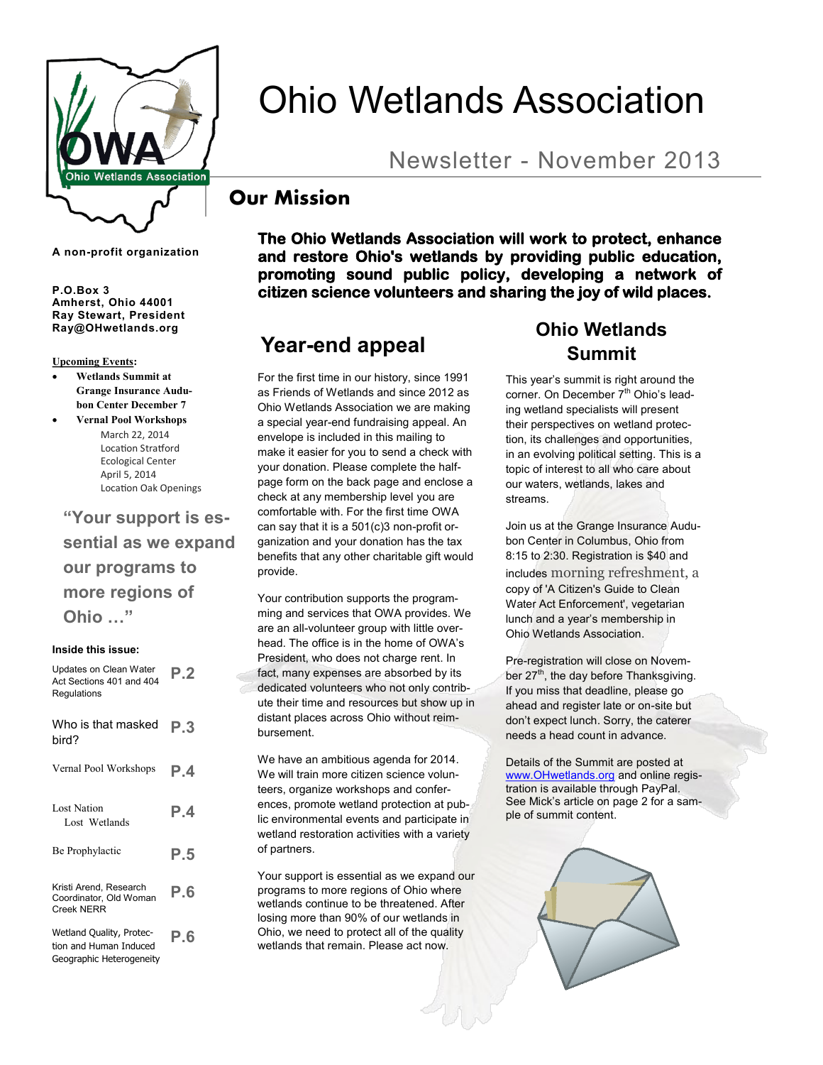

**A non-profit organization**

**Amherst, Ohio 44001 Ray Stewart, President Ray@OHwetlands.org**

**Upcoming Events:**

- **Wetlands Summit at Grange Insurance Audubon Center December 7**
- **Vernal Pool Workshops** March 22, 2014 Location Stratford Ecological Center April 5, 2014 Location Oak Openings

**"Your support is essential as we expand our programs to more regions of Ohio …"** 

#### **Inside this issue:**

| Updates on Clean Water<br>Act Sections 401 and 404<br>Regulations              | P.2 |
|--------------------------------------------------------------------------------|-----|
| Who is that masked<br>bird?                                                    | P.3 |
| Vernal Pool Workshops                                                          | P.4 |
| <b>Lost Nation</b><br>Lost Wetlands                                            | P.4 |
| Be Prophylactic                                                                | P.5 |
| Kristi Arend, Research<br>Coordinator, Old Woman<br><b>Creek NERR</b>          | P.6 |
| Wetland Quality, Protec-<br>tion and Human Induced<br>Geographic Heterogeneity | P.6 |

Ohio Wetlands Association

# Newsletter - November 2013

### **Our Mission**

**The Ohio Wetlands Association will work to protect, enhance and restore Ohio's wetlands by providing public education, promoting sound public policy, developing a network of P.O.Box 3 citizen science volunteers and sharing the joy of wild places.** 

### **Year-end appeal**

For the first time in our history, since 1991 as Friends of Wetlands and since 2012 as Ohio Wetlands Association we are making a special year-end fundraising appeal. An envelope is included in this mailing to make it easier for you to send a check with your donation. Please complete the halfpage form on the back page and enclose a check at any membership level you are comfortable with. For the first time OWA can say that it is a 501(c)3 non-profit organization and your donation has the tax benefits that any other charitable gift would provide.

Your contribution supports the programming and services that OWA provides. We are an all-volunteer group with little overhead. The office is in the home of OWA's President, who does not charge rent. In fact, many expenses are absorbed by its dedicated volunteers who not only contribute their time and resources but show up in distant places across Ohio without reimbursement.

We have an ambitious agenda for 2014. We will train more citizen science volunteers, organize workshops and conferences, promote wetland protection at public environmental events and participate in wetland restoration activities with a variety of partners.

Your support is essential as we expand our programs to more regions of Ohio where wetlands continue to be threatened. After losing more than 90% of our wetlands in Ohio, we need to protect all of the quality wetlands that remain. Please act now.

## **Ohio Wetlands Summit**

This year's summit is right around the corner. On December 7<sup>th</sup> Ohio's leading wetland specialists will present their perspectives on wetland protection, its challenges and opportunities, in an evolving political setting. This is a topic of interest to all who care about our waters, wetlands, lakes and streams.

Join us at the Grange Insurance Audubon Center in Columbus, Ohio from 8:15 to 2:30. Registration is \$40 and includes morning refreshment, a copy of 'A Citizen's Guide to Clean Water Act Enforcement', vegetarian lunch and a year's membership in Ohio Wetlands Association.

Pre-registration will close on November  $27<sup>th</sup>$ , the day before Thanksgiving. If you miss that deadline, please go ahead and register late or on-site but don't expect lunch. Sorry, the caterer needs a head count in advance.

Details of the Summit are posted at [www.OHwetlands.org](http://www.OHwetlands.org) and online registration is available through PayPal. See Mick's article on page 2 for a sample of summit content.

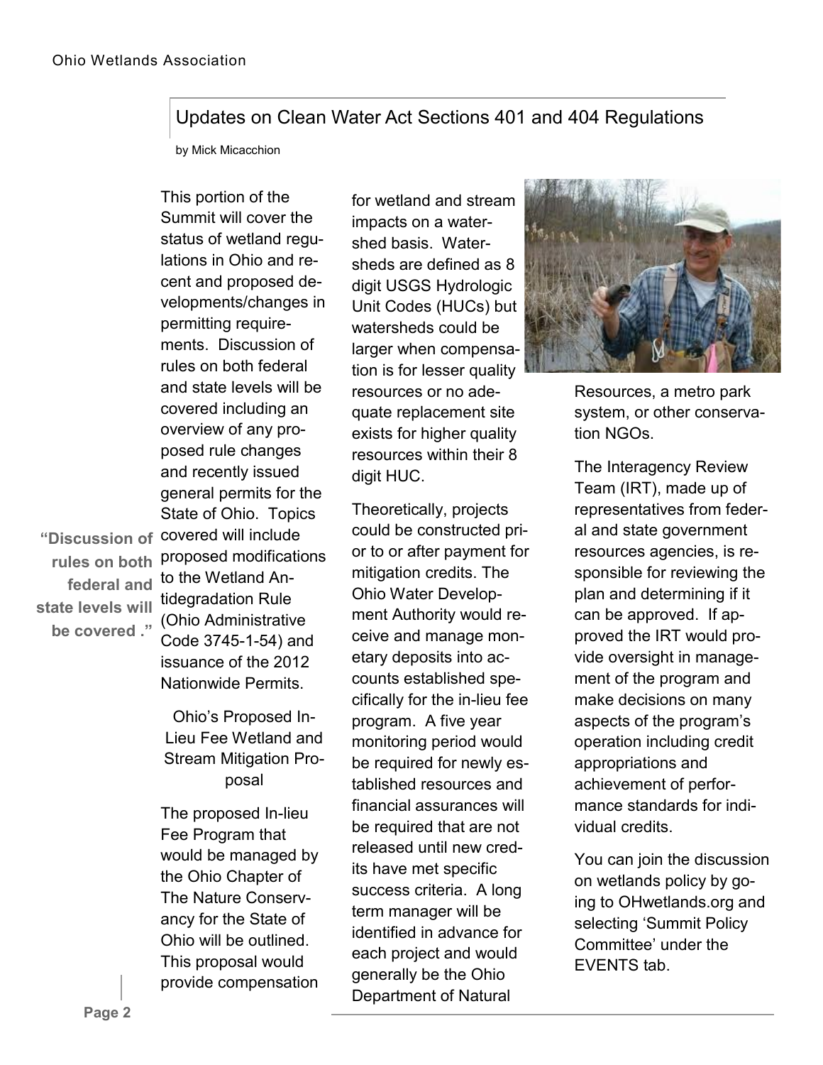### Updates on Clean Water Act Sections 401 and 404 Regulations

by Mick Micacchion

This portion of the Summit will cover the status of wetland regulations in Ohio and recent and proposed developments/changes in permitting requirements. Discussion of rules on both federal and state levels will be covered including an overview of any proposed rule changes and recently issued general permits for the State of Ohio. Topics "Discussion of covered will include proposed modifications to the Wetland Antidegradation Rule (Ohio Administrative Code 3745-1-54) and issuance of the 2012

> Ohio's Proposed In-Lieu Fee Wetland and Stream Mitigation Proposal

Nationwide Permits.

The proposed In-lieu Fee Program that would be managed by the Ohio Chapter of The Nature Conservancy for the State of Ohio will be outlined. This proposal would provide compensation for wetland and stream impacts on a watershed basis. Watersheds are defined as 8 digit USGS Hydrologic Unit Codes (HUCs) but watersheds could be larger when compensation is for lesser quality resources or no adequate replacement site exists for higher quality resources within their 8 digit HUC.

Theoretically, projects could be constructed prior to or after payment for mitigation credits. The Ohio Water Development Authority would receive and manage monetary deposits into accounts established specifically for the in-lieu fee program. A five year monitoring period would be required for newly established resources and financial assurances will be required that are not released until new credits have met specific success criteria. A long term manager will be identified in advance for each project and would generally be the Ohio Department of Natural



Resources, a metro park system, or other conservation NGOs.

The Interagency Review Team (IRT), made up of representatives from federal and state government resources agencies, is responsible for reviewing the plan and determining if it can be approved. If approved the IRT would provide oversight in management of the program and make decisions on many aspects of the program's operation including credit appropriations and achievement of performance standards for individual credits.

You can join the discussion on wetlands policy by going to OHwetlands.org and selecting 'Summit Policy Committee' under the EVENTS tab.

**rules on both federal and state levels will be covered ."**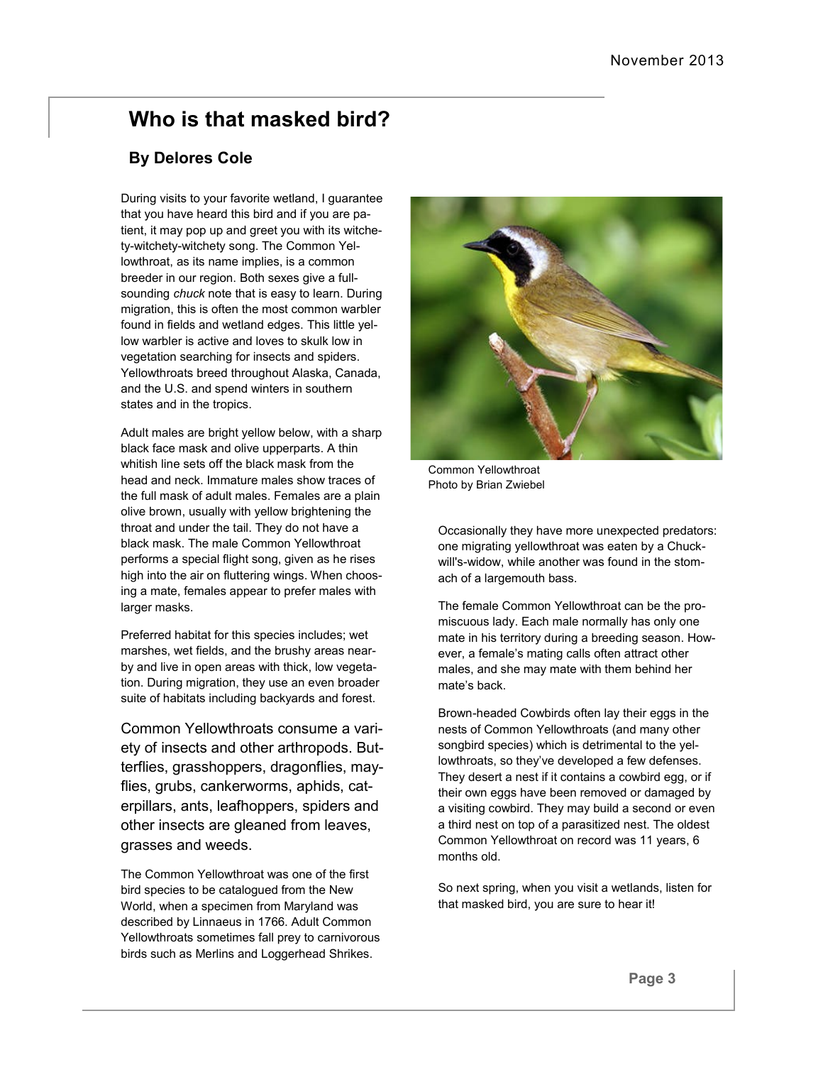# **Who is that masked bird?**

### **By Delores Cole**

During visits to your favorite wetland, I guarantee that you have heard this bird and if you are patient, it may pop up and greet you with its witchety-witchety-witchety song. The Common Yellowthroat, as its name implies, is a common breeder in our region. Both sexes give a fullsounding *chuck* note that is easy to learn. During migration, this is often the most common warbler found in fields and wetland edges. This little yellow warbler is active and loves to skulk low in vegetation searching for insects and spiders. Yellowthroats breed throughout Alaska, Canada, and the U.S. and spend winters in southern states and in the tropics.

Adult males are bright yellow below, with a sharp black face mask and olive upperparts. A thin whitish line sets off the black mask from the head and neck. Immature males show traces of the full mask of adult males. Females are a plain olive brown, usually with yellow brightening the throat and under the tail. They do not have a black mask. The male Common Yellowthroat performs a special flight song, given as he rises high into the air on fluttering wings. When choosing a mate, females appear to prefer males with larger masks.

Preferred habitat for this species includes; wet marshes, wet fields, and the brushy areas nearby and live in open areas with thick, low vegetation. During migration, they use an even broader suite of habitats including backyards and forest.

Common Yellowthroats consume a variety of insects and other arthropods. Butterflies, grasshoppers, dragonflies, mayflies, grubs, cankerworms, aphids, caterpillars, ants, leafhoppers, spiders and other insects are gleaned from leaves, grasses and weeds.

The Common Yellowthroat was one of the first bird species to be catalogued from the New World, when a specimen from Maryland was described by Linnaeus in 1766. Adult Common Yellowthroats sometimes fall prey to carnivorous birds such as Merlins and Loggerhead Shrikes.



Common Yellowthroat Photo by Brian Zwiebel

Occasionally they have more unexpected predators: one migrating yellowthroat was eaten by a Chuckwill's-widow, while another was found in the stomach of a largemouth bass.

The female Common Yellowthroat can be the promiscuous lady. Each male normally has only one mate in his territory during a breeding season. However, a female's mating calls often attract other males, and she may mate with them behind her mate's back.

Brown-headed Cowbirds often lay their eggs in the nests of Common Yellowthroats (and many other songbird species) which is detrimental to the yellowthroats, so they've developed a few defenses. They desert a nest if it contains a cowbird egg, or if their own eggs have been removed or damaged by a visiting cowbird. They may build a second or even a third nest on top of a parasitized nest. The oldest Common Yellowthroat on record was 11 years, 6 months old.

So next spring, when you visit a wetlands, listen for that masked bird, you are sure to hear it!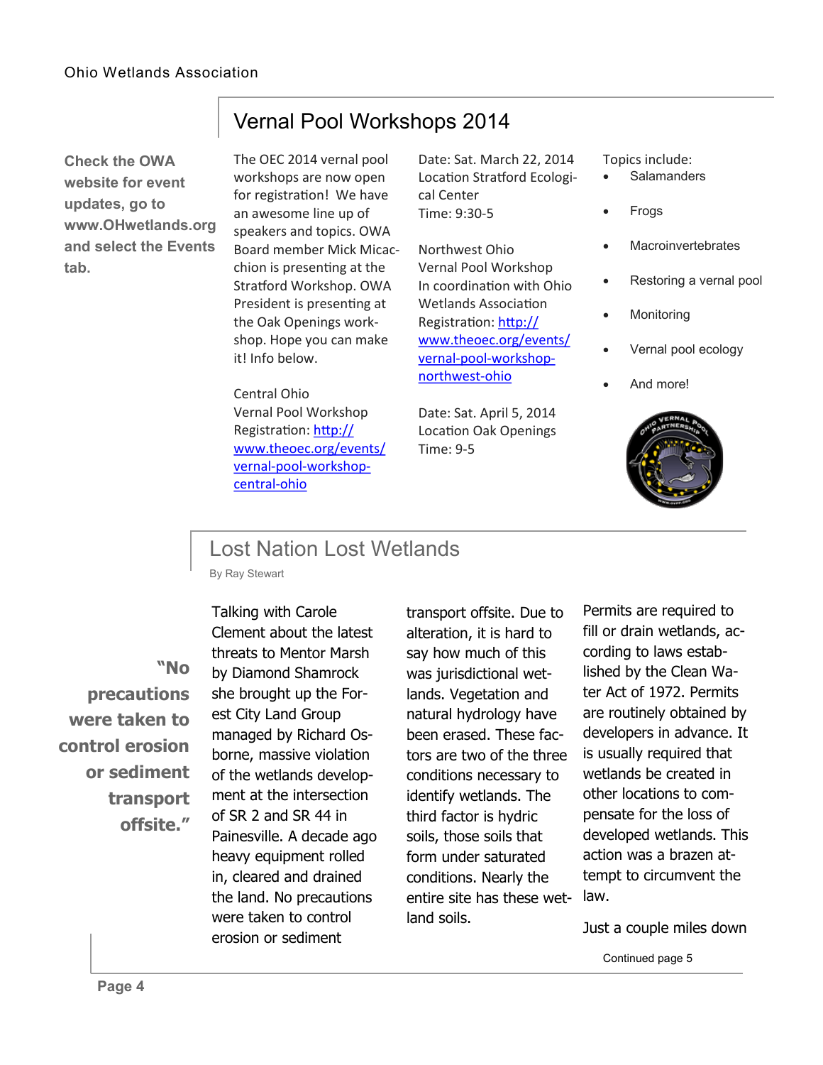**Check the OWA website for event updates, go to www.OHwetlands.org and select the Events tab.**

The OEC 2014 vernal pool workshops are now open for registration! We have an awesome line up of speakers and topics. OWA Board member Mick Micacchion is presenting at the Stratford Workshop. OWA President is presenting at the Oak Openings workshop. Hope you can make it! Info below.

Vernal Pool Workshops 2014

Central Ohio Vernal Pool Workshop Registration: [http://](http://www.theoec.org/events/vernal-pool-workshop-central-ohio) [www.theoec.org/events/](http://www.theoec.org/events/vernal-pool-workshop-central-ohio) vernal-pool-[workshop](http://www.theoec.org/events/vernal-pool-workshop-central-ohio)[central](http://www.theoec.org/events/vernal-pool-workshop-central-ohio)-ohio

Date: Sat. March 22, 2014 Location Stratford Ecological Center Time: 9:30-5

Northwest Ohio Vernal Pool Workshop In coordination with Ohio Wetlands Association Registration: [http://](http://www.theoec.org/events/vernal-pool-workshop-northwest-ohio) [www.theoec.org/events/](http://www.theoec.org/events/vernal-pool-workshop-northwest-ohio) vernal-pool-[workshop](http://www.theoec.org/events/vernal-pool-workshop-northwest-ohio)[northwest](http://www.theoec.org/events/vernal-pool-workshop-northwest-ohio)-ohio

Date: Sat. April 5, 2014 Location Oak Openings Time: 9-5

Topics include:

- **Salamanders**
- Frogs
- **Macroinvertebrates**
- Restoring a vernal pool
- Monitoring
- Vernal pool ecology
- And more!



### Lost Nation Lost Wetlands

By Ray Stewart

**"No precautions were taken to control erosion or sediment transport offsite."** 

Talking with Carole Clement about the latest threats to Mentor Marsh by Diamond Shamrock she brought up the Forest City Land Group managed by Richard Osborne, massive violation of the wetlands development at the intersection of SR 2 and SR 44 in Painesville. A decade ago heavy equipment rolled in, cleared and drained the land. No precautions were taken to control erosion or sediment

transport offsite. Due to alteration, it is hard to say how much of this was jurisdictional wetlands. Vegetation and natural hydrology have been erased. These factors are two of the three conditions necessary to identify wetlands. The third factor is hydric soils, those soils that form under saturated conditions. Nearly the entire site has these wet-law. land soils.

Permits are required to fill or drain wetlands, according to laws established by the Clean Water Act of 1972. Permits are routinely obtained by developers in advance. It is usually required that wetlands be created in other locations to compensate for the loss of developed wetlands. This action was a brazen attempt to circumvent the

Just a couple miles down

Continued page 5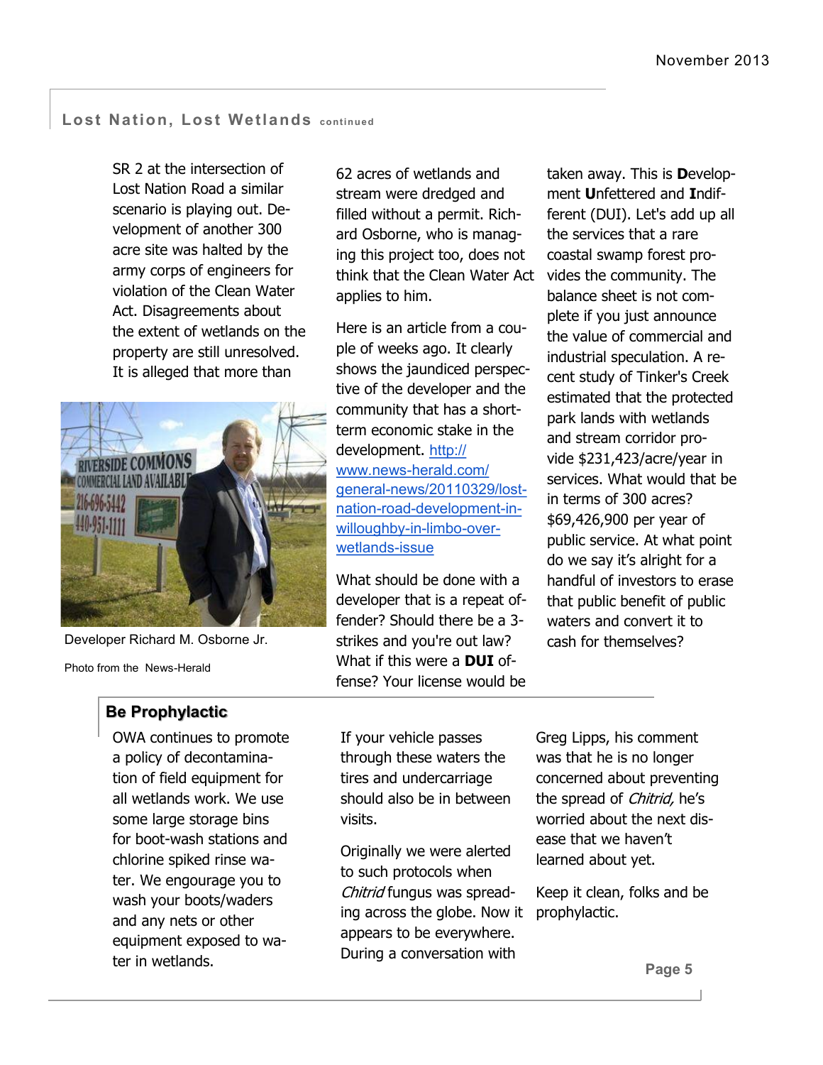#### **Lost Nation, Lost Wetlands continued**

SR 2 at the intersection of Lost Nation Road a similar scenario is playing out. Development of another 300 acre site was halted by the army corps of engineers for violation of the Clean Water Act. Disagreements about the extent of wetlands on the property are still unresolved. It is alleged that more than



Developer Richard M. Osborne Jr.

Photo from the News-Herald

### **Be Prophylactic**

OWA continues to promote a policy of decontamination of field equipment for all wetlands work. We use some large storage bins for boot-wash stations and chlorine spiked rinse water. We engourage you to wash your boots/waders and any nets or other equipment exposed to water in wetlands.

62 acres of wetlands and stream were dredged and filled without a permit. Richard Osborne, who is managing this project too, does not think that the Clean Water Act vides the community. The applies to him.

Here is an article from a couple of weeks ago. It clearly shows the jaundiced perspective of the developer and the community that has a shortterm economic stake in the development. [http://](http://www.news-herald.com/general-news/20110329/lost-nation-road-development-in-willoughby-in-limbo-over-wetlands-issue) www.news-[herald.com/](http://www.news-herald.com/general-news/20110329/lost-nation-road-development-in-willoughby-in-limbo-over-wetlands-issue) general-[news/20110329/lost](http://www.news-herald.com/general-news/20110329/lost-nation-road-development-in-willoughby-in-limbo-over-wetlands-issue)nation-road-[development](http://www.news-herald.com/general-news/20110329/lost-nation-road-development-in-willoughby-in-limbo-over-wetlands-issue)-in[willoughby](http://www.news-herald.com/general-news/20110329/lost-nation-road-development-in-willoughby-in-limbo-over-wetlands-issue)-in-limbo-over[wetlands](http://www.news-herald.com/general-news/20110329/lost-nation-road-development-in-willoughby-in-limbo-over-wetlands-issue)-issue

What should be done with a developer that is a repeat offender? Should there be a 3 strikes and you're out law? What if this were a **DUI** offense? Your license would be

taken away. This is **D**evelopment **U**nfettered and **I**ndifferent (DUI). Let's add up all the services that a rare coastal swamp forest probalance sheet is not complete if you just announce the value of commercial and industrial speculation. A recent study of Tinker's Creek estimated that the protected park lands with wetlands and stream corridor provide \$231,423/acre/year in services. What would that be in terms of 300 acres? \$69,426,900 per year of public service. At what point do we say it's alright for a handful of investors to erase that public benefit of public waters and convert it to cash for themselves?

If your vehicle passes through these waters the tires and undercarriage should also be in between visits.

Originally we were alerted to such protocols when Chitrid fungus was spreading across the globe. Now it appears to be everywhere. During a conversation with

Greg Lipps, his comment was that he is no longer concerned about preventing the spread of *Chitrid*, he's worried about the next disease that we haven't learned about yet.

Keep it clean, folks and be prophylactic.

**Page 5**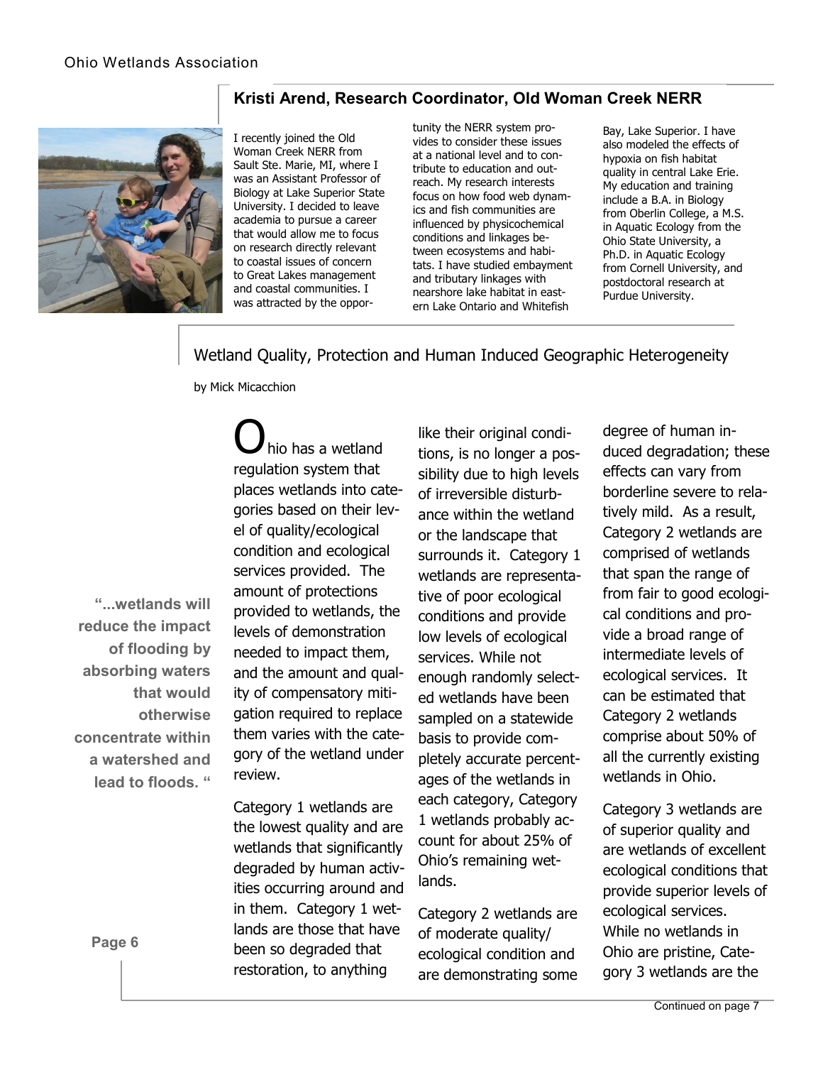#### **Kristi Arend, Research Coordinator, Old Woman Creek NERR**



I recently joined the Old Woman Creek NERR from Sault Ste. Marie, MI, where I was an Assistant Professor of Biology at Lake Superior State University. I decided to leave academia to pursue a career that would allow me to focus on research directly relevant to coastal issues of concern to Great Lakes management and coastal communities. I was attracted by the opportunity the NERR system provides to consider these issues at a national level and to contribute to education and outreach. My research interests focus on how food web dynamics and fish communities are influenced by physicochemical conditions and linkages between ecosystems and habitats. I have studied embayment and tributary linkages with nearshore lake habitat in eastern Lake Ontario and Whitefish

Bay, Lake Superior. I have also modeled the effects of hypoxia on fish habitat quality in central Lake Erie. My education and training include a B.A. in Biology from Oberlin College, a M.S. in Aquatic Ecology from the Ohio State University, a Ph.D. in Aquatic Ecology from Cornell University, and postdoctoral research at Purdue University.

Wetland Quality, Protection and Human Induced Geographic Heterogeneity

by Mick Micacchion

**"...wetlands will reduce the impact of flooding by absorbing waters that would otherwise concentrate within a watershed and lead to floods. "**

hio has a wetland regulation system that places wetlands into categories based on their level of quality/ecological condition and ecological services provided. The amount of protections provided to wetlands, the levels of demonstration needed to impact them, and the amount and quality of compensatory mitigation required to replace them varies with the category of the wetland under review.

Category 1 wetlands are the lowest quality and are wetlands that significantly degraded by human activities occurring around and in them. Category 1 wetlands are those that have been so degraded that restoration, to anything

like their original conditions, is no longer a possibility due to high levels of irreversible disturbance within the wetland or the landscape that surrounds it. Category 1 wetlands are representative of poor ecological conditions and provide low levels of ecological services. While not enough randomly selected wetlands have been sampled on a statewide basis to provide completely accurate percentages of the wetlands in each category, Category 1 wetlands probably account for about 25% of Ohio's remaining wetlands.

Category 2 wetlands are of moderate quality/ ecological condition and are demonstrating some

degree of human induced degradation; these effects can vary from borderline severe to relatively mild. As a result, Category 2 wetlands are comprised of wetlands that span the range of from fair to good ecological conditions and provide a broad range of intermediate levels of ecological services. It can be estimated that Category 2 wetlands comprise about 50% of all the currently existing wetlands in Ohio.

Category 3 wetlands are of superior quality and are wetlands of excellent ecological conditions that provide superior levels of ecological services. While no wetlands in Ohio are pristine, Category 3 wetlands are the

**Page 6**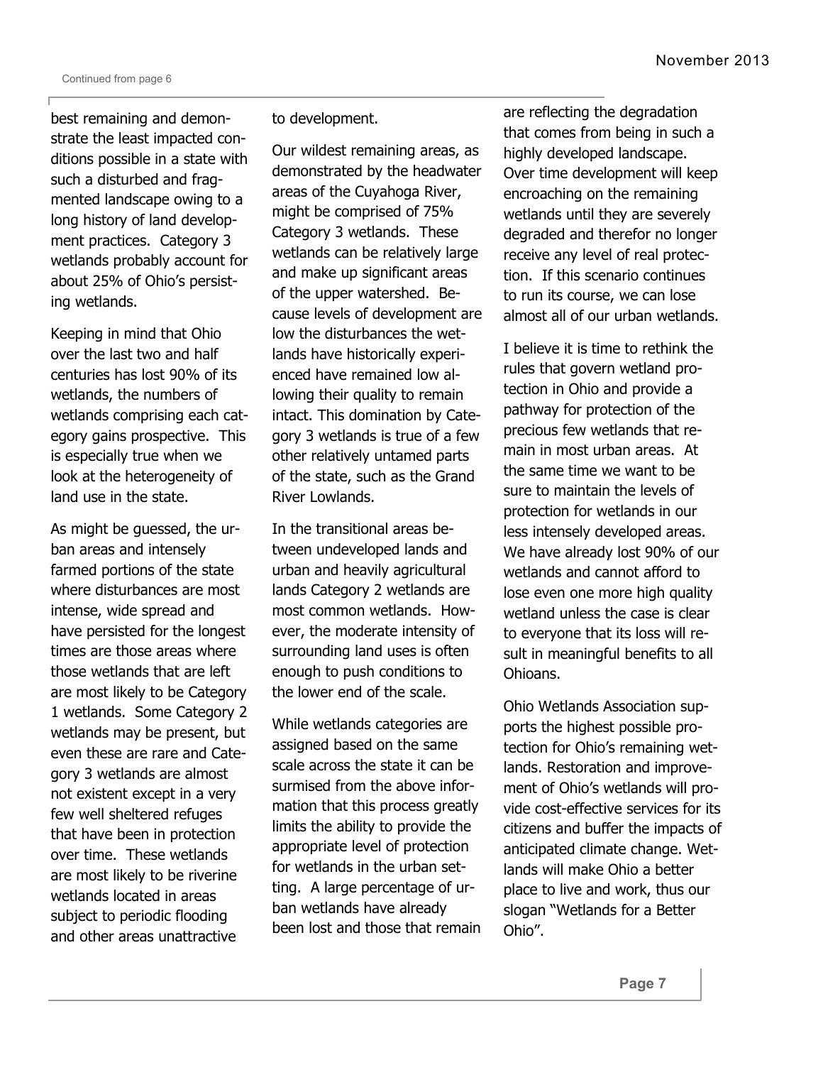best remaining and demonstrate the least impacted conditions possible in a state with such a disturbed and fragmented landscape owing to a long history of land development practices. Category 3 wetlands probably account for about 25% of Ohio's persisting wetlands.

Keeping in mind that Ohio over the last two and half centuries has lost 90% of its wetlands, the numbers of wetlands comprising each category gains prospective. This is especially true when we look at the heterogeneity of land use in the state.

As might be guessed, the urban areas and intensely farmed portions of the state where disturbances are most intense, wide spread and have persisted for the longest times are those areas where those wetlands that are left are most likely to be Category 1 wetlands. Some Category 2 wetlands may be present, but even these are rare and Category 3 wetlands are almost not existent except in a very few well sheltered refuges that have been in protection over time. These wetlands are most likely to be riverine wetlands located in areas subject to periodic flooding and other areas unattractive

#### to development.

Our wildest remaining areas, as demonstrated by the headwater areas of the Cuyahoga River, might be comprised of 75% Category 3 wetlands. These wetlands can be relatively large and make up significant areas of the upper watershed. Because levels of development are low the disturbances the wetlands have historically experienced have remained low allowing their quality to remain intact. This domination by Category 3 wetlands is true of a few other relatively untamed parts of the state, such as the Grand River Lowlands.

In the transitional areas between undeveloped lands and urban and heavily agricultural lands Category 2 wetlands are most common wetlands. However, the moderate intensity of surrounding land uses is often enough to push conditions to the lower end of the scale.

While wetlands categories are assigned based on the same scale across the state it can be surmised from the above information that this process greatly limits the ability to provide the appropriate level of protection for wetlands in the urban setting. A large percentage of urban wetlands have already been lost and those that remain

are reflecting the degradation that comes from being in such a highly developed landscape. Over time development will keep encroaching on the remaining wetlands until they are severely degraded and therefor no longer receive any level of real protection. If this scenario continues to run its course, we can lose almost all of our urban wetlands.

I believe it is time to rethink the rules that govern wetland protection in Ohio and provide a pathway for protection of the precious few wetlands that remain in most urban areas. At the same time we want to be sure to maintain the levels of protection for wetlands in our less intensely developed areas. We have already lost 90% of our wetlands and cannot afford to lose even one more high quality wetland unless the case is clear to everyone that its loss will result in meaningful benefits to all Ohioans.

Ohio Wetlands Association supports the highest possible protection for Ohio's remaining wetlands. Restoration and improvement of Ohio's wetlands will provide cost-effective services for its citizens and buffer the impacts of anticipated climate change. Wetlands will make Ohio a better place to live and work, thus our slogan "Wetlands for a Better Ohio".